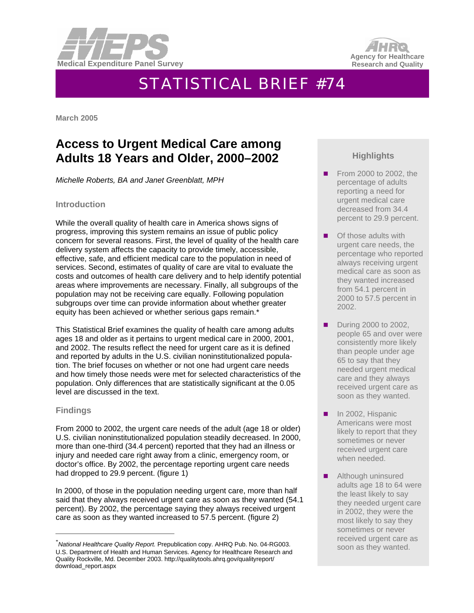



# STATISTICAL BRIEF #74

**March 2005** 

## **Access to Urgent Medical Care among Adults 18 Years and Older, 2000–2002**

*Michelle Roberts, BA and Janet Greenblatt, MPH* 

#### **Introduction**

While the overall quality of health care in America shows signs of progress, improving this system remains an issue of public policy concern for several reasons. First, the level of quality of the health care delivery system affects the capacity to provide timely, accessible, effective, safe, and efficient medical care to the population in need of services. Second, estimates of quality of care are vital to evaluate the costs and outcomes of health care delivery and to help identify potential areas where improvements are necessary. Finally, all subgroups of the population may not be receiving care equally. Following population subgroups over time can provide information about whether greater equity has been achieved or whether serious gaps remain.\*

This Statistical Brief examines the quality of health care among adults ages 18 and older as it pertains to urgent medical care in 2000, 2001, and 2002. The results reflect the need for urgent care as it is defined and reported by adults in the U.S. civilian noninstitutionalized population. The brief focuses on whether or not one had urgent care needs and how timely those needs were met for selected characteristics of the population. Only differences that are statistically significant at the 0.05 level are discussed in the text.

#### **Findings**

From 2000 to 2002, the urgent care needs of the adult (age 18 or older) U.S. civilian noninstitutionalized population steadily decreased. In 2000, more than one-third (34.4 percent) reported that they had an illness or injury and needed care right away from a clinic, emergency room, or doctor's office. By 2002, the percentage reporting urgent care needs had dropped to 29.9 percent. (figure 1)

In 2000, of those in the population needing urgent care, more than half said that they always received urgent care as soon as they wanted (54.1 percent). By 2002, the percentage saying they always received urgent care as soon as they wanted increased to 57.5 percent. (figure 2)

### **Highlights**

- From 2000 to 2002, the percentage of adults reporting a need for urgent medical care decreased from 34.4 percent to 29.9 percent.
- $\blacksquare$  Of those adults with urgent care needs, the percentage who reported always receiving urgent medical care as soon as they wanted increased from 54.1 percent in 2000 to 57.5 percent in 2002.
- � During 2000 to 2002, people 65 and over were consistently more likely than people under age 65 to say that they needed urgent medical care and they always received urgent care as soon as they wanted.
- **n** In 2002, Hispanic Americans were most likely to report that they sometimes or never received urgent care when needed.
- **Although uninsured** adults age 18 to 64 were the least likely to say they needed urgent care in 2002, they were the most likely to say they sometimes or never received urgent care as soon as they wanted.

<sup>\*</sup> *National Healthcare Quality Report.* Prepublication copy. AHRQ Pub. No. 04-RG003. U.S. Department of Health and Human Services. Agency for Healthcare Research and Quality Rockville, Md. December 2003. http://qualitytools.ahrq.gov/qualityreport/ download\_report.aspx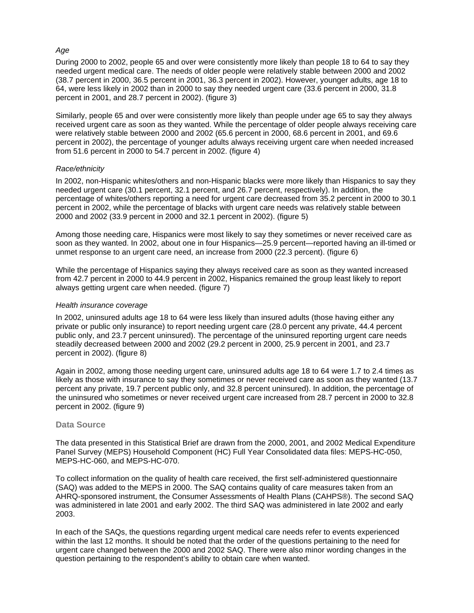#### *Age*

During 2000 to 2002, people 65 and over were consistently more likely than people 18 to 64 to say they needed urgent medical care. The needs of older people were relatively stable between 2000 and 2002 (38.7 percent in 2000, 36.5 percent in 2001, 36.3 percent in 2002). However, younger adults, age 18 to 64, were less likely in 2002 than in 2000 to say they needed urgent care (33.6 percent in 2000, 31.8 percent in 2001, and 28.7 percent in 2002). (figure 3)

Similarly, people 65 and over were consistently more likely than people under age 65 to say they always received urgent care as soon as they wanted. While the percentage of older people always receiving care were relatively stable between 2000 and 2002 (65.6 percent in 2000, 68.6 percent in 2001, and 69.6 percent in 2002), the percentage of younger adults always receiving urgent care when needed increased from 51.6 percent in 2000 to 54.7 percent in 2002. (figure 4)

#### *Race/ethnicity*

In 2002, non-Hispanic whites/others and non-Hispanic blacks were more likely than Hispanics to say they needed urgent care (30.1 percent, 32.1 percent, and 26.7 percent, respectively). In addition, the percentage of whites/others reporting a need for urgent care decreased from 35.2 percent in 2000 to 30.1 percent in 2002, while the percentage of blacks with urgent care needs was relatively stable between 2000 and 2002 (33.9 percent in 2000 and 32.1 percent in 2002). (figure 5)

Among those needing care, Hispanics were most likely to say they sometimes or never received care as soon as they wanted. In 2002, about one in four Hispanics—25.9 percent—reported having an ill-timed or unmet response to an urgent care need, an increase from 2000 (22.3 percent). (figure 6)

While the percentage of Hispanics saying they always received care as soon as they wanted increased from 42.7 percent in 2000 to 44.9 percent in 2002, Hispanics remained the group least likely to report always getting urgent care when needed. (figure 7)

#### *Health insurance coverage*

In 2002, uninsured adults age 18 to 64 were less likely than insured adults (those having either any private or public only insurance) to report needing urgent care (28.0 percent any private, 44.4 percent public only, and 23.7 percent uninsured). The percentage of the uninsured reporting urgent care needs steadily decreased between 2000 and 2002 (29.2 percent in 2000, 25.9 percent in 2001, and 23.7 percent in 2002). (figure 8)

Again in 2002, among those needing urgent care, uninsured adults age 18 to 64 were 1.7 to 2.4 times as likely as those with insurance to say they sometimes or never received care as soon as they wanted (13.7 percent any private, 19.7 percent public only, and 32.8 percent uninsured). In addition, the percentage of the uninsured who sometimes or never received urgent care increased from 28.7 percent in 2000 to 32.8 percent in 2002. (figure 9)

#### **Data Source**

The data presented in this Statistical Brief are drawn from the 2000, 2001, and 2002 Medical Expenditure Panel Survey (MEPS) Household Component (HC) Full Year Consolidated data files: MEPS-HC-050, MEPS-HC-060, and MEPS-HC-070.

To collect information on the quality of health care received, the first self-administered questionnaire (SAQ) was added to the MEPS in 2000. The SAQ contains quality of care measures taken from an AHRQ-sponsored instrument, the Consumer Assessments of Health Plans (CAHPS®). The second SAQ was administered in late 2001 and early 2002. The third SAQ was administered in late 2002 and early 2003.

In each of the SAQs, the questions regarding urgent medical care needs refer to events experienced within the last 12 months. It should be noted that the order of the questions pertaining to the need for urgent care changed between the 2000 and 2002 SAQ. There were also minor wording changes in the question pertaining to the respondent's ability to obtain care when wanted.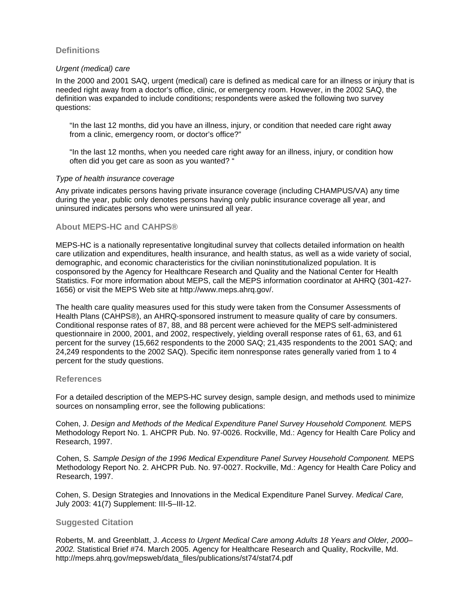#### **Definitions**

#### *Urgent (medical) care*

In the 2000 and 2001 SAQ, urgent (medical) care is defined as medical care for an illness or injury that is needed right away from a doctor's office, clinic, or emergency room. However, in the 2002 SAQ, the definition was expanded to include conditions; respondents were asked the following two survey questions:

"In the last 12 months, did you have an illness, injury, or condition that needed care right away from a clinic, emergency room, or doctor's office?"

"In the last 12 months, when you needed care right away for an illness, injury, or condition how often did you get care as soon as you wanted? "

#### *Type of health insurance coverage*

Any private indicates persons having private insurance coverage (including CHAMPUS/VA) any time during the year, public only denotes persons having only public insurance coverage all year, and uninsured indicates persons who were uninsured all year.

#### **About MEPS-HC and CAHPS®**

MEPS-HC is a nationally representative longitudinal survey that collects detailed information on health care utilization and expenditures, health insurance, and health status, as well as a wide variety of social, demographic, and economic characteristics for the civilian noninstitutionalized population. It is cosponsored by the Agency for Healthcare Research and Quality and the National Center for Health Statistics. For more information about MEPS, call the MEPS information coordinator at AHRQ (301-427- 1656) or visit the MEPS Web site at [http://www.meps.ahrq.gov/.](http://www.meps.ahrq.gov/)

The health care quality measures used for this study were taken from the Consumer Assessments of Health Plans (CAHPS®), an AHRQ-sponsored instrument to measure quality of care by consumers. Conditional response rates of 87, 88, and 88 percent were achieved for the MEPS self-administered questionnaire in 2000, 2001, and 2002, respectively, yielding overall response rates of 61, 63, and 61 percent for the survey (15,662 respondents to the 2000 SAQ; 21,435 respondents to the 2001 SAQ; and 24,249 respondents to the 2002 SAQ). Specific item nonresponse rates generally varied from 1 to 4 percent for the study questions.

#### **References**

For a detailed description of the MEPS-HC survey design, sample design, and methods used to minimize sources on nonsampling error, see the following publications:

Cohen, J. *Design and Methods of the Medical Expenditure Panel Survey Household Component.* MEPS Methodology Report No. 1. AHCPR Pub. No. 97-0026. Rockville, Md.: Agency for Health Care Policy and Research, 1997.

Cohen, S. *Sample Design of the 1996 Medical Expenditure Panel Survey Household Component.* MEPS Methodology Report No. 2. AHCPR Pub. No. 97-0027. Rockville, Md.: Agency for Health Care Policy and Research, 1997.

Cohen, S. Design Strategies and Innovations in the Medical Expenditure Panel Survey. *Medical Care,*  July 2003: 41(7) Supplement: III-5–III-12.

#### **Suggested Citation**

Roberts, M. and Greenblatt, J. *Access to Urgent Medical Care among Adults 18 Years and Older, 2000– 2002.* Statistical Brief #74. March 2005. Agency for Healthcare Research and Quality, Rockville, Md. http://meps.ahrq.gov/mepsweb/data\_files/publications/st74/stat74.pdf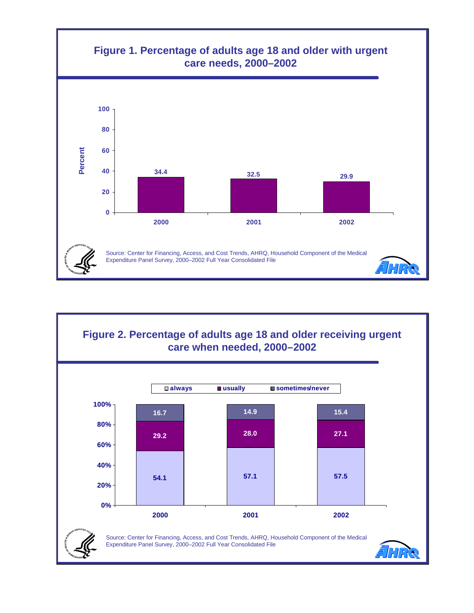

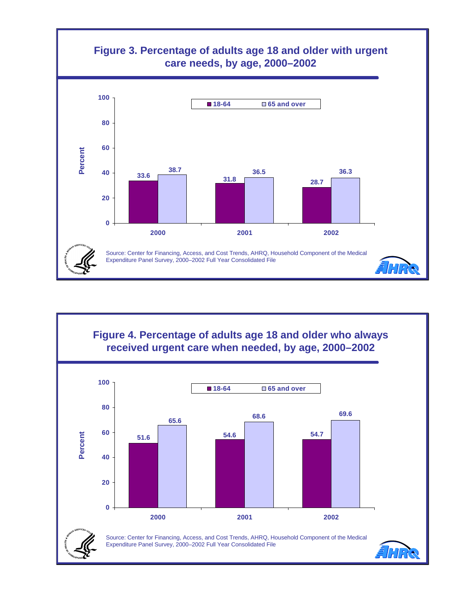

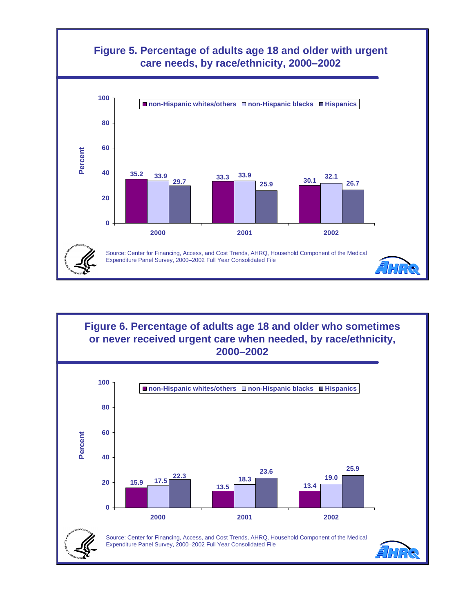

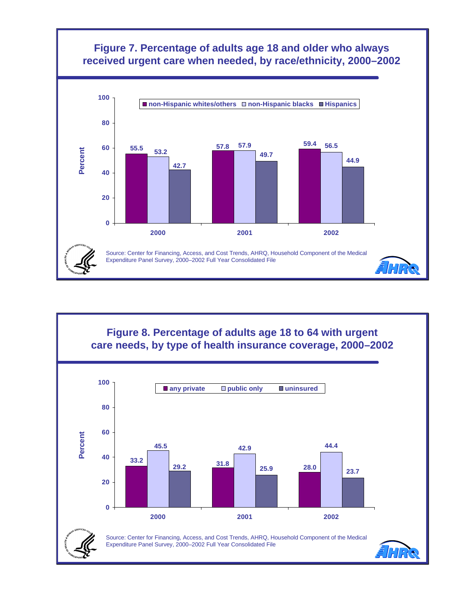